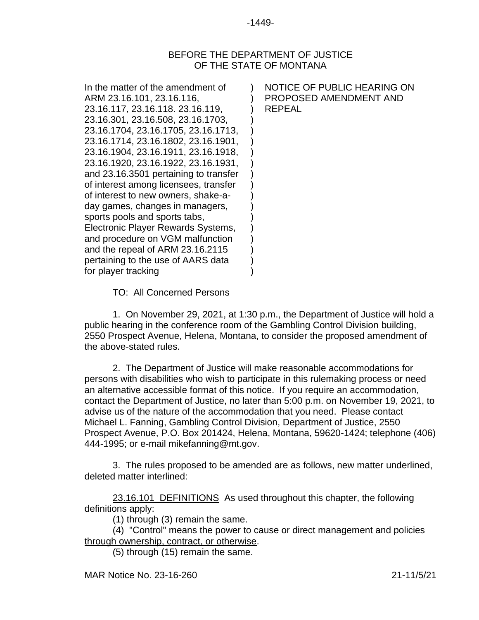## BEFORE THE DEPARTMENT OF JUSTICE OF THE STATE OF MONTANA

) ) ) ) ) ) ) ) ) ) ) ) ) ) ) ) ) )

In the matter of the amendment of ARM 23.16.101, 23.16.116, 23.16.117, 23.16.118. 23.16.119, 23.16.301, 23.16.508, 23.16.1703, 23.16.1704, 23.16.1705, 23.16.1713, 23.16.1714, 23.16.1802, 23.16.1901, 23.16.1904, 23.16.1911, 23.16.1918, 23.16.1920, 23.16.1922, 23.16.1931, and 23.16.3501 pertaining to transfer of interest among licensees, transfer of interest to new owners, shake-aday games, changes in managers, sports pools and sports tabs, Electronic Player Rewards Systems, and procedure on VGM malfunction and the repeal of ARM 23.16.2115 pertaining to the use of AARS data for player tracking

NOTICE OF PUBLIC HEARING ON PROPOSED AMENDMENT AND REPEAL

TO: All Concerned Persons

1. On November 29, 2021, at 1:30 p.m., the Department of Justice will hold a public hearing in the conference room of the Gambling Control Division building, 2550 Prospect Avenue, Helena, Montana, to consider the proposed amendment of the above-stated rules.

2. The Department of Justice will make reasonable accommodations for persons with disabilities who wish to participate in this rulemaking process or need an alternative accessible format of this notice. If you require an accommodation, contact the Department of Justice, no later than 5:00 p.m. on November 19, 2021, to advise us of the nature of the accommodation that you need. Please contact Michael L. Fanning, Gambling Control Division, Department of Justice, 2550 Prospect Avenue, P.O. Box 201424, Helena, Montana, 59620-1424; telephone (406) 444-1995; or e-mail [mikefanning@mt.gov.](mailto:mikefanning@mt.gov)

3. The rules proposed to be amended are as follows, new matter underlined, deleted matter interlined:

23.16.101 DEFINITIONS As used throughout this chapter, the following definitions apply:

(1) through (3) remain the same.

(4) "Control" means the power to cause or direct management and policies through ownership, contract, or otherwise.

(5) through (15) remain the same.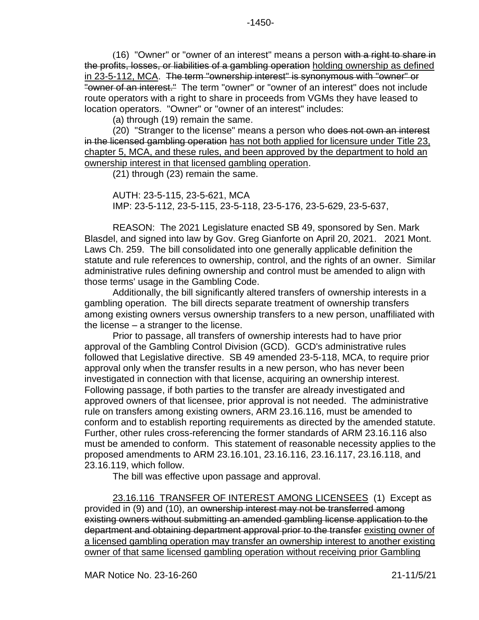(16) "Owner" or "owner of an interest" means a person with a right to share in the profits, losses, or liabilities of a gambling operation holding ownership as defined in 23-5-112, MCA. The term "ownership interest" is synonymous with "owner" or "owner of an interest." The term "owner" or "owner of an interest" does not include route operators with a right to share in proceeds from VGMs they have leased to location operators. "Owner" or "owner of an interest" includes:

(a) through (19) remain the same.

(20) "Stranger to the license" means a person who does not own an interest in the licensed gambling operation has not both applied for licensure under Title 23, chapter 5, MCA, and these rules, and been approved by the department to hold an ownership interest in that licensed gambling operation.

 $(21)$  through  $(23)$  remain the same.

AUTH: 23-5-115, 23-5-621, MCA IMP: 23-5-112, 23-5-115, 23-5-118, 23-5-176, 23-5-629, 23-5-637,

REASON: The 2021 Legislature enacted SB 49, sponsored by Sen. Mark Blasdel, and signed into law by Gov. Greg Gianforte on April 20, 2021. 2021 Mont. Laws Ch. 259. The bill consolidated into one generally applicable definition the statute and rule references to ownership, control, and the rights of an owner. Similar administrative rules defining ownership and control must be amended to align with those terms' usage in the Gambling Code.

Additionally, the bill significantly altered transfers of ownership interests in a gambling operation. The bill directs separate treatment of ownership transfers among existing owners versus ownership transfers to a new person, unaffiliated with the license – a stranger to the license.

Prior to passage, all transfers of ownership interests had to have prior approval of the Gambling Control Division (GCD). GCD's administrative rules followed that Legislative directive. SB 49 amended 23-5-118, MCA, to require prior approval only when the transfer results in a new person, who has never been investigated in connection with that license, acquiring an ownership interest. Following passage, if both parties to the transfer are already investigated and approved owners of that licensee, prior approval is not needed. The administrative rule on transfers among existing owners, ARM 23.16.116, must be amended to conform and to establish reporting requirements as directed by the amended statute. Further, other rules cross-referencing the former standards of ARM 23.16.116 also must be amended to conform. This statement of reasonable necessity applies to the proposed amendments to ARM 23.16.101, 23.16.116, 23.16.117, 23.16.118, and 23.16.119, which follow.

The bill was effective upon passage and approval.

23.16.116 TRANSFER OF INTEREST AMONG LICENSEES (1) Except as provided in (9) and (10), an ownership interest may not be transferred among existing owners without submitting an amended gambling license application to the department and obtaining department approval prior to the transfer existing owner of a licensed gambling operation may transfer an ownership interest to another existing owner of that same licensed gambling operation without receiving prior Gambling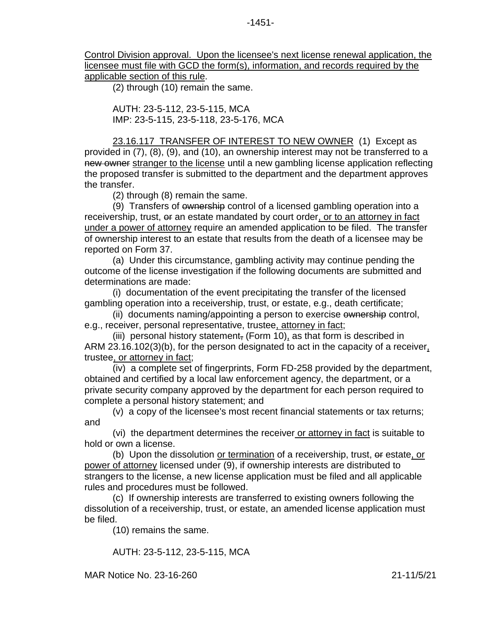Control Division approval. Upon the licensee's next license renewal application, the licensee must file with GCD the form(s), information, and records required by the applicable section of this rule.

(2) through (10) remain the same.

AUTH: 23-5-112, 23-5-115, MCA IMP: 23-5-115, 23-5-118, 23-5-176, MCA

23.16.117 TRANSFER OF INTEREST TO NEW OWNER (1) Except as provided in (7), (8), (9), and (10), an ownership interest may not be transferred to a new owner stranger to the license until a new gambling license application reflecting the proposed transfer is submitted to the department and the department approves the transfer.

(2) through (8) remain the same.

(9) Transfers of ownership control of a licensed gambling operation into a receivership, trust, or an estate mandated by court order, or to an attorney in fact under a power of attorney require an amended application to be filed. The transfer of ownership interest to an estate that results from the death of a licensee may be reported on Form 37.

(a) Under this circumstance, gambling activity may continue pending the outcome of the license investigation if the following documents are submitted and determinations are made:

(i) documentation of the event precipitating the transfer of the licensed gambling operation into a receivership, trust, or estate, e.g., death certificate;

(ii) documents naming/appointing a person to exercise ownership control, e.g., receiver, personal representative, trustee, attorney in fact;

(iii) personal history statement, (Form 10), as that form is described in ARM [23.16.102\(](https://rules.mt.gov/gateway/ruleno.asp?RN=23.16.102)3)(b), for the person designated to act in the capacity of a receiver, trustee, or attorney in fact;

(iv) a complete set of fingerprints, Form FD-258 provided by the department, obtained and certified by a local law enforcement agency, the department, or a private security company approved by the department for each person required to complete a personal history statement; and

(v) a copy of the licensee's most recent financial statements or tax returns; and

(vi) the department determines the receiver or attorney in fact is suitable to hold or own a license.

(b) Upon the dissolution or termination of a receivership, trust, or estate, or power of attorney licensed under (9), if ownership interests are distributed to strangers to the license, a new license application must be filed and all applicable rules and procedures must be followed.

(c) If ownership interests are transferred to existing owners following the dissolution of a receivership, trust, or estate, an amended license application must be filed.

(10) remains the same.

AUTH: 23-5-112, 23-5-115, MCA

MAR Notice No. 23-16-260 21-11/5/21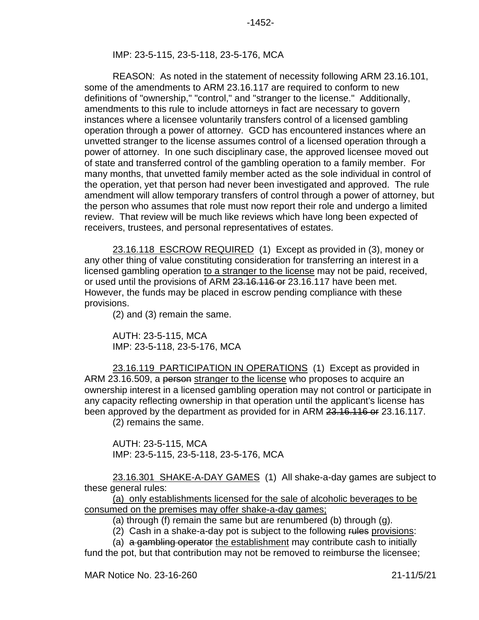IMP: 23-5-115, 23-5-118, 23-5-176, MCA

REASON: As noted in the statement of necessity following ARM 23.16.101, some of the amendments to ARM 23.16.117 are required to conform to new definitions of "ownership," "control," and "stranger to the license." Additionally, amendments to this rule to include attorneys in fact are necessary to govern instances where a licensee voluntarily transfers control of a licensed gambling operation through a power of attorney. GCD has encountered instances where an unvetted stranger to the license assumes control of a licensed operation through a power of attorney. In one such disciplinary case, the approved licensee moved out of state and transferred control of the gambling operation to a family member. For many months, that unvetted family member acted as the sole individual in control of the operation, yet that person had never been investigated and approved. The rule amendment will allow temporary transfers of control through a power of attorney, but the person who assumes that role must now report their role and undergo a limited review. That review will be much like reviews which have long been expected of receivers, trustees, and personal representatives of estates.

23.16.118 ESCROW REQUIRED (1) Except as provided in (3), money or any other thing of value constituting consideration for transferring an interest in a licensed gambling operation to a stranger to the license may not be paid, received, or used until the provisions of ARM 23.16.116 or 23.16.117 have been met. However, the funds may be placed in escrow pending compliance with these provisions.

(2) and (3) remain the same.

AUTH: 23-5-115, MCA IMP: 23-5-118, 23-5-176, MCA

23.16.119 PARTICIPATION IN OPERATIONS (1) Except as provided in ARM 23.16.509, a person stranger to the license who proposes to acquire an ownership interest in a licensed gambling operation may not control or participate in any capacity reflecting ownership in that operation until the applicant's license has been approved by the department as provided for in ARM 23.16.116 or 23.16.117.

(2) remains the same.

AUTH: 23-5-115, MCA IMP: 23-5-115, 23-5-118, 23-5-176, MCA

23.16.301 SHAKE-A-DAY GAMES (1) All shake-a-day games are subject to these general rules:

(a) only establishments licensed for the sale of alcoholic beverages to be consumed on the premises may offer shake-a-day games;

(a) through (f) remain the same but are renumbered (b) through (g).

(2) Cash in a shake-a-day pot is subject to the following rules provisions:

(a) a gambling operator the establishment may contribute cash to initially fund the pot, but that contribution may not be removed to reimburse the licensee;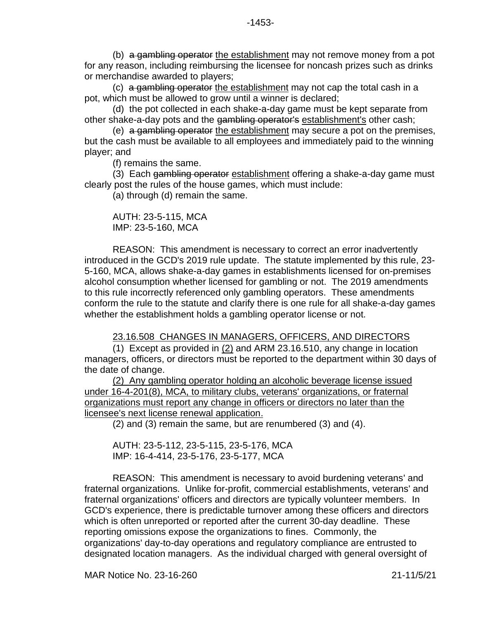(c) a gambling operator the establishment may not cap the total cash in a pot, which must be allowed to grow until a winner is declared;

(d) the pot collected in each shake-a-day game must be kept separate from other shake-a-day pots and the gambling operator's establishment's other cash;

(e) a gambling operator the establishment may secure a pot on the premises, but the cash must be available to all employees and immediately paid to the winning player; and

(f) remains the same.

(3) Each gambling operator establishment offering a shake-a-day game must clearly post the rules of the house games, which must include:

(a) through (d) remain the same.

AUTH: 23-5-115, MCA IMP: 23-5-160, MCA

REASON: This amendment is necessary to correct an error inadvertently introduced in the GCD's 2019 rule update. The statute implemented by this rule, 23- 5-160, MCA, allows shake-a-day games in establishments licensed for on-premises alcohol consumption whether licensed for gambling or not. The 2019 amendments to this rule incorrectly referenced only gambling operators. These amendments conform the rule to the statute and clarify there is one rule for all shake-a-day games whether the establishment holds a gambling operator license or not.

## [23.16.508](https://rules.mt.gov/gateway/ruleno.asp?RN=23%2E16%2E508) CHANGES IN MANAGERS, OFFICERS, AND DIRECTORS

(1) Except as provided in (2) and ARM [23.16.510,](https://rules.mt.gov/gateway/ruleno.asp?RN=23.16.510) any change in location managers, officers, or directors must be reported to the department within 30 days of the date of change.

(2) Any gambling operator holding an alcoholic beverage license issued under 16-4-201(8), MCA, to military clubs, veterans' organizations, or fraternal organizations must report any change in officers or directors no later than the licensee's next license renewal application.

(2) and (3) remain the same, but are renumbered (3) and (4).

AUTH: 23-5-112, 23-5-115, 23-5-176, MCA IMP: [16-4-414,](http://leg.mt.gov/bills/mca/title_0160/chapter_0040/part_0040/section_0140/0160-0040-0040-0140.html) [23-5-176,](http://leg.mt.gov/bills/mca/title_0230/chapter_0050/part_0010/section_0760/0230-0050-0010-0760.html) [23-5-177,](http://leg.mt.gov/bills/mca/title_0230/chapter_0050/part_0010/section_0770/0230-0050-0010-0770.html) MCA

REASON: This amendment is necessary to avoid burdening veterans' and fraternal organizations. Unlike for-profit, commercial establishments, veterans' and fraternal organizations' officers and directors are typically volunteer members. In GCD's experience, there is predictable turnover among these officers and directors which is often unreported or reported after the current 30-day deadline. These reporting omissions expose the organizations to fines. Commonly, the organizations' day-to-day operations and regulatory compliance are entrusted to designated location managers. As the individual charged with general oversight of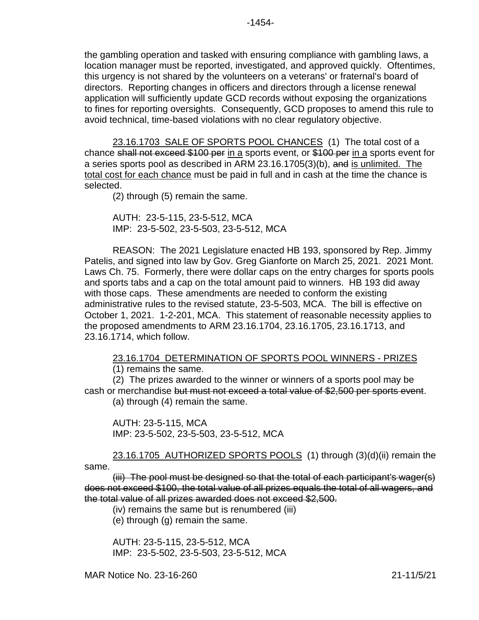the gambling operation and tasked with ensuring compliance with gambling laws, a location manager must be reported, investigated, and approved quickly. Oftentimes, this urgency is not shared by the volunteers on a veterans' or fraternal's board of directors. Reporting changes in officers and directors through a license renewal application will sufficiently update GCD records without exposing the organizations to fines for reporting oversights. Consequently, GCD proposes to amend this rule to avoid technical, time-based violations with no clear regulatory objective.

23.16.1703 SALE OF SPORTS POOL CHANCES (1) The total cost of a chance shall not exceed \$100 per in a sports event, or \$100 per in a sports event for a series sports pool as described in ARM 23.16.1705(3)(b), and is unlimited. The total cost for each chance must be paid in full and in cash at the time the chance is selected.

(2) through (5) remain the same.

AUTH: 23-5-115, 23-5-512, MCA IMP: 23-5-502, 23-5-503, 23-5-512, MCA

REASON: The 2021 Legislature enacted HB 193, sponsored by Rep. Jimmy Patelis, and signed into law by Gov. Greg Gianforte on March 25, 2021. 2021 Mont. Laws Ch. 75. Formerly, there were dollar caps on the entry charges for sports pools and sports tabs and a cap on the total amount paid to winners. HB 193 did away with those caps. These amendments are needed to conform the existing administrative rules to the revised statute, 23-5-503, MCA. The bill is effective on October 1, 2021. 1-2-201, MCA. This statement of reasonable necessity applies to the proposed amendments to ARM 23.16.1704, 23.16.1705, 23.16.1713, and 23.16.1714, which follow.

23.16.1704 DETERMINATION OF SPORTS POOL WINNERS - PRIZES

(1) remains the same.

(2) The prizes awarded to the winner or winners of a sports pool may be cash or merchandise but must not exceed a total value of \$2,500 per sports event. (a) through (4) remain the same.

AUTH: 23-5-115, MCA IMP: 23-5-502, 23-5-503, 23-5-512, MCA

23.16.1705 AUTHORIZED SPORTS POOLS (1) through (3)(d)(ii) remain the same.

(iii) The pool must be designed so that the total of each participant's wager(s) does not exceed \$100, the total value of all prizes equals the total of all wagers, and the total value of all prizes awarded does not exceed \$2,500.

(iv) remains the same but is renumbered (iii)

(e) through (g) remain the same.

AUTH: 23-5-115, 23-5-512, MCA IMP: 23-5-502, 23-5-503, 23-5-512, MCA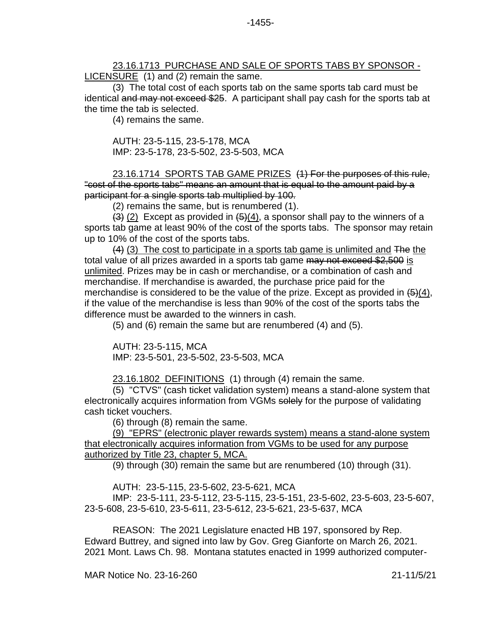23.16.1713 PURCHASE AND SALE OF SPORTS TABS BY SPONSOR - LICENSURE (1) and (2) remain the same.

(3) The total cost of each sports tab on the same sports tab card must be identical and may not exceed \$25. A participant shall pay cash for the sports tab at the time the tab is selected.

(4) remains the same.

AUTH: 23-5-115, 23-5-178, MCA IMP: 23-5-178, 23-5-502, 23-5-503, MCA

23.16.1714 SPORTS TAB GAME PRIZES (1) For the purposes of this rule, "cost of the sports tabs" means an amount that is equal to the amount paid by a participant for a single sports tab multiplied by 100.

(2) remains the same, but is renumbered (1).

 $(3)$  (2) Except as provided in  $(5)(4)$ , a sponsor shall pay to the winners of a sports tab game at least 90% of the cost of the sports tabs. The sponsor may retain up to 10% of the cost of the sports tabs.

 $(4)$  (3) The cost to participate in a sports tab game is unlimited and The the total value of all prizes awarded in a sports tab game may not exceed \$2,500 is unlimited. Prizes may be in cash or merchandise, or a combination of cash and merchandise. If merchandise is awarded, the purchase price paid for the merchandise is considered to be the value of the prize. Except as provided in  $(5)(4)$ , if the value of the merchandise is less than 90% of the cost of the sports tabs the difference must be awarded to the winners in cash.

(5) and (6) remain the same but are renumbered (4) and (5).

AUTH: 23-5-115, MCA IMP: 23-5-501, 23-5-502, 23-5-503, MCA

23.16.1802 DEFINITIONS (1) through (4) remain the same.

(5) "CTVS" (cash ticket validation system) means a stand-alone system that electronically acquires information from VGMs solely for the purpose of validating cash ticket vouchers.

(6) through (8) remain the same.

(9) "EPRS" (electronic player rewards system) means a stand-alone system that electronically acquires information from VGMs to be used for any purpose authorized by Title 23, chapter 5, MCA.

(9) through (30) remain the same but are renumbered (10) through (31).

AUTH: 23-5-115, 23-5-602, 23-5-621, MCA

IMP: 23-5-111, 23-5-112, 23-5-115, 23-5-151, 23-5-602, 23-5-603, 23-5-607, 23-5-608, 23-5-610, 23-5-611, 23-5-612, 23-5-621, 23-5-637, MCA

REASON: The 2021 Legislature enacted HB 197, sponsored by Rep. Edward Buttrey, and signed into law by Gov. Greg Gianforte on March 26, 2021. 2021 Mont. Laws Ch. 98. Montana statutes enacted in 1999 authorized computer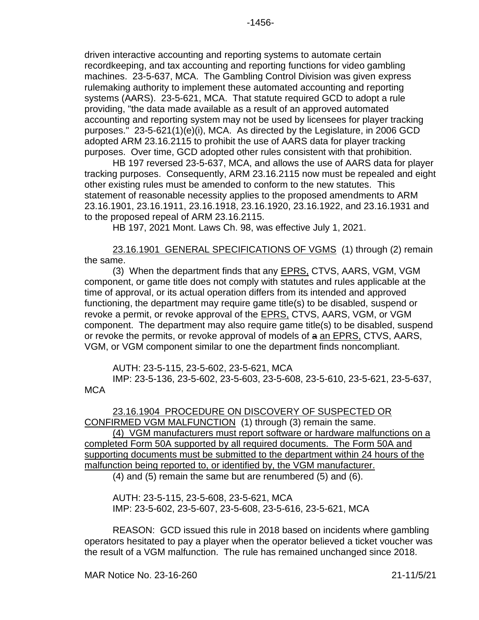driven interactive accounting and reporting systems to automate certain recordkeeping, and tax accounting and reporting functions for video gambling machines. 23-5-637, MCA. The Gambling Control Division was given express rulemaking authority to implement these automated accounting and reporting systems (AARS). 23-5-621, MCA. That statute required GCD to adopt a rule providing, "the data made available as a result of an approved automated accounting and reporting system may not be used by licensees for player tracking purposes." 23-5-621(1)(e)(i), MCA. As directed by the Legislature, in 2006 GCD adopted ARM 23.16.2115 to prohibit the use of AARS data for player tracking purposes. Over time, GCD adopted other rules consistent with that prohibition.

HB 197 reversed 23-5-637, MCA, and allows the use of AARS data for player tracking purposes. Consequently, ARM 23.16.2115 now must be repealed and eight other existing rules must be amended to conform to the new statutes. This statement of reasonable necessity applies to the proposed amendments to ARM 23.16.1901, 23.16.1911, 23.16.1918, 23.16.1920, 23.16.1922, and 23.16.1931 and to the proposed repeal of ARM 23.16.2115.

HB 197, 2021 Mont. Laws Ch. 98, was effective July 1, 2021.

23.16.1901 GENERAL SPECIFICATIONS OF VGMS (1) through (2) remain the same.

(3) When the department finds that any EPRS, CTVS, AARS, VGM, VGM component, or game title does not comply with statutes and rules applicable at the time of approval, or its actual operation differs from its intended and approved functioning, the department may require game title(s) to be disabled, suspend or revoke a permit, or revoke approval of the EPRS, CTVS, AARS, VGM, or VGM component. The department may also require game title(s) to be disabled, suspend or revoke the permits, or revoke approval of models of a an EPRS, CTVS, AARS, VGM, or VGM component similar to one the department finds noncompliant.

AUTH: 23-5-115, 23-5-602, 23-5-621, MCA

IMP: 23-5-136, 23-5-602, 23-5-603, 23-5-608, 23-5-610, 23-5-621, 23-5-637, **MCA** 

23.16.1904 PROCEDURE ON DISCOVERY OF SUSPECTED OR CONFIRMED VGM MALFUNCTION (1) through (3) remain the same.

(4) VGM manufacturers must report software or hardware malfunctions on a completed Form 50A supported by all required documents. The Form 50A and supporting documents must be submitted to the department within 24 hours of the malfunction being reported to, or identified by, the VGM manufacturer.

(4) and (5) remain the same but are renumbered (5) and (6).

AUTH: 23-5-115, 23-5-608, 23-5-621, MCA IMP: 23-5-602, 23-5-607, 23-5-608, 23-5-616, 23-5-621, MCA

REASON: GCD issued this rule in 2018 based on incidents where gambling operators hesitated to pay a player when the operator believed a ticket voucher was the result of a VGM malfunction. The rule has remained unchanged since 2018.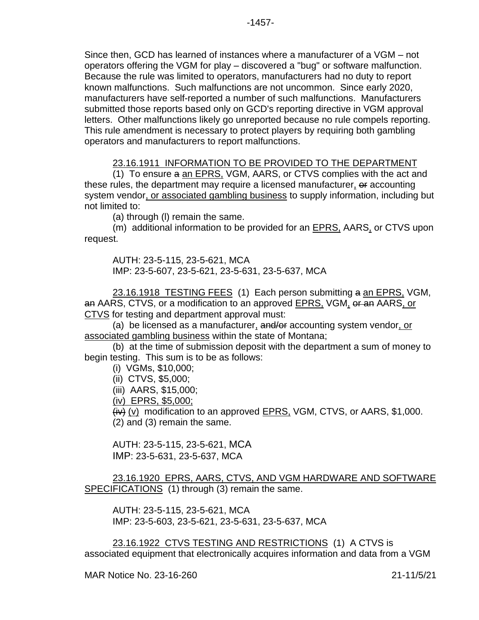Since then, GCD has learned of instances where a manufacturer of a VGM – not operators offering the VGM for play – discovered a "bug" or software malfunction. Because the rule was limited to operators, manufacturers had no duty to report known malfunctions. Such malfunctions are not uncommon. Since early 2020, manufacturers have self-reported a number of such malfunctions. Manufacturers submitted those reports based only on GCD's reporting directive in VGM approval letters. Other malfunctions likely go unreported because no rule compels reporting. This rule amendment is necessary to protect players by requiring both gambling operators and manufacturers to report malfunctions.

23.16.1911 INFORMATION TO BE PROVIDED TO THE DEPARTMENT

(1) To ensure a an EPRS, VGM, AARS, or CTVS complies with the act and these rules, the department may require a licensed manufacturer, or accounting system vendor, or associated gambling business to supply information, including but not limited to:

(a) through (l) remain the same.

(m) additional information to be provided for an EPRS, AARS, or CTVS upon request.

AUTH: 23-5-115, 23-5-621, MCA IMP: 23-5-607, 23-5-621, 23-5-631, 23-5-637, MCA

23.16.1918 TESTING FEES (1) Each person submitting a an EPRS, VGM, an AARS, CTVS, or a modification to an approved EPRS, VGM, or an AARS, or CTVS for testing and department approval must:

(a) be licensed as a manufacturer, and/or accounting system vendor, or associated gambling business within the state of Montana;

(b) at the time of submission deposit with the department a sum of money to begin testing. This sum is to be as follows:

(i) VGMs, \$10,000;

(ii) CTVS, \$5,000;

(iii) AARS, \$15,000;

(iv) EPRS, \$5,000;

 $(iv)$  (v) modification to an approved EPRS, VGM, CTVS, or AARS, \$1,000.

(2) and (3) remain the same.

AUTH: 23-5-115, 23-5-621, MCA IMP: 23-5-631, 23-5-637, MCA

23.16.1920 EPRS, AARS, CTVS, AND VGM HARDWARE AND SOFTWARE SPECIFICATIONS (1) through (3) remain the same.

AUTH: 23-5-115, 23-5-621, MCA IMP: 23-5-603, 23-5-621, 23-5-631, 23-5-637, MCA

23.16.1922 CTVS TESTING AND RESTRICTIONS (1) A CTVS is associated equipment that electronically acquires information and data from a VGM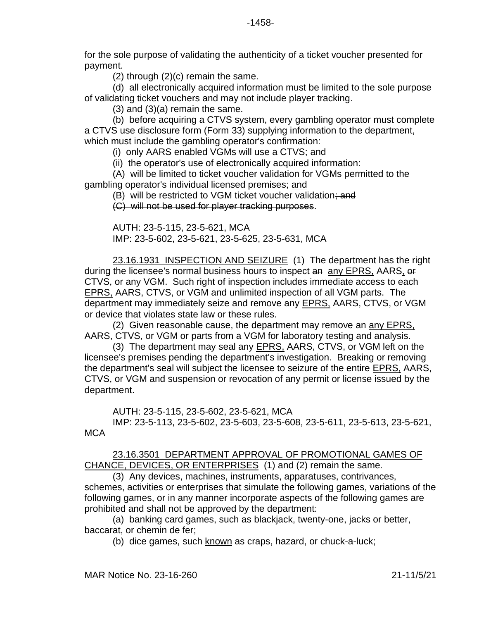for the sole purpose of validating the authenticity of a ticket voucher presented for payment.

(2) through (2)(c) remain the same.

(d) all electronically acquired information must be limited to the sole purpose of validating ticket vouchers and may not include player tracking.

(3) and (3)(a) remain the same.

(b) before acquiring a CTVS system, every gambling operator must complete a CTVS use disclosure form (Form 33) supplying information to the department, which must include the gambling operator's confirmation:

(i) only AARS enabled VGMs will use a CTVS; and

(ii) the operator's use of electronically acquired information:

(A) will be limited to ticket voucher validation for VGMs permitted to the gambling operator's individual licensed premises; and

(B) will be restricted to VGM ticket voucher validation; and

(C) will not be used for player tracking purposes.

AUTH: 23-5-115, 23-5-621, MCA IMP: 23-5-602, 23-5-621, 23-5-625, 23-5-631, MCA

23.16.1931 INSPECTION AND SEIZURE (1) The department has the right during the licensee's normal business hours to inspect an any EPRS, AARS, or CTVS, or any VGM. Such right of inspection includes immediate access to each EPRS, AARS, CTVS, or VGM and unlimited inspection of all VGM parts. The department may immediately seize and remove any **EPRS**, AARS, CTVS, or VGM or device that violates state law or these rules.

(2) Given reasonable cause, the department may remove an any EPRS, AARS, CTVS, or VGM or parts from a VGM for laboratory testing and analysis.

(3) The department may seal any **EPRS**, AARS, CTVS, or VGM left on the licensee's premises pending the department's investigation. Breaking or removing the department's seal will subject the licensee to seizure of the entire EPRS, AARS, CTVS, or VGM and suspension or revocation of any permit or license issued by the department.

AUTH: 23-5-115, 23-5-602, 23-5-621, MCA

IMP: 23-5-113, 23-5-602, 23-5-603, 23-5-608, 23-5-611, 23-5-613, 23-5-621, **MCA** 

## 23.16.3501 DEPARTMENT APPROVAL OF PROMOTIONAL GAMES OF CHANCE, DEVICES, OR ENTERPRISES (1) and (2) remain the same.

(3) Any devices, machines, instruments, apparatuses, contrivances, schemes, activities or enterprises that simulate the following games, variations of the following games, or in any manner incorporate aspects of the following games are prohibited and shall not be approved by the department:

(a) banking card games, such as blackjack, twenty-one, jacks or better, baccarat, or chemin de fer;

(b) dice games, such known as craps, hazard, or chuck-a-luck;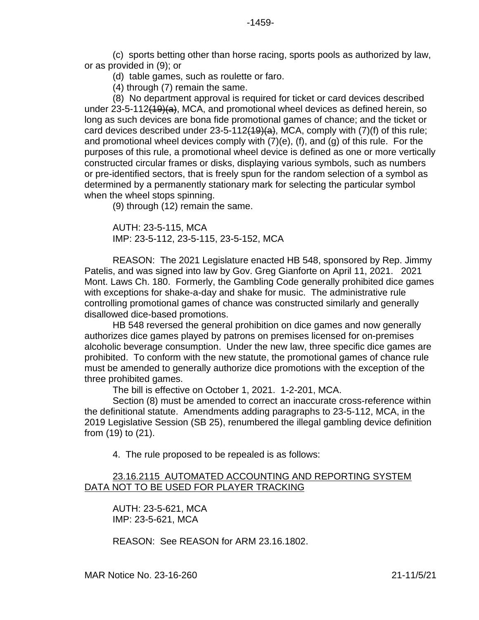(c) sports betting other than horse racing, sports pools as authorized by law, or as provided in (9); or

(d) table games, such as roulette or faro.

(4) through (7) remain the same.

(8) No department approval is required for ticket or card devices described under 23-5-112(19)(a), MCA, and promotional wheel devices as defined herein, so long as such devices are bona fide promotional games of chance; and the ticket or card devices described under  $23-5-112(19)(a)$ , MCA, comply with  $(7)(f)$  of this rule; and promotional wheel devices comply with (7)(e), (f), and (g) of this rule. For the purposes of this rule, a promotional wheel device is defined as one or more vertically constructed circular frames or disks, displaying various symbols, such as numbers or pre-identified sectors, that is freely spun for the random selection of a symbol as determined by a permanently stationary mark for selecting the particular symbol when the wheel stops spinning.

(9) through (12) remain the same.

AUTH: 23-5-115, MCA IMP: 23-5-112, 23-5-115, 23-5-152, MCA

REASON: The 2021 Legislature enacted HB 548, sponsored by Rep. Jimmy Patelis, and was signed into law by Gov. Greg Gianforte on April 11, 2021. 2021 Mont. Laws Ch. 180. Formerly, the Gambling Code generally prohibited dice games with exceptions for shake-a-day and shake for music. The administrative rule controlling promotional games of chance was constructed similarly and generally disallowed dice-based promotions.

HB 548 reversed the general prohibition on dice games and now generally authorizes dice games played by patrons on premises licensed for on-premises alcoholic beverage consumption. Under the new law, three specific dice games are prohibited. To conform with the new statute, the promotional games of chance rule must be amended to generally authorize dice promotions with the exception of the three prohibited games.

The bill is effective on October 1, 2021. 1-2-201, MCA.

Section (8) must be amended to correct an inaccurate cross-reference within the definitional statute. Amendments adding paragraphs to 23-5-112, MCA, in the 2019 Legislative Session (SB 25), renumbered the illegal gambling device definition from (19) to (21).

4. The rule proposed to be repealed is as follows:

## 23.16.2115 AUTOMATED ACCOUNTING AND REPORTING SYSTEM DATA NOT TO BE USED FOR PLAYER TRACKING

AUTH: 23-5-621, MCA IMP: 23-5-621, MCA

REASON: See REASON for ARM 23.16.1802.